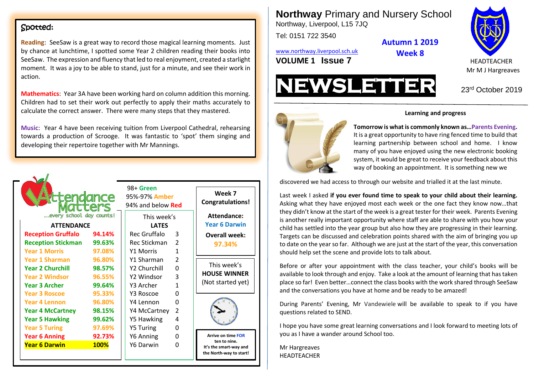#### Spotted:

**Reading**: SeeSaw is a great way to record those magical learning moments. Just by chance at lunchtime, I spotted some Year 2 children reading their books into SeeSaw. The expression and fluency that led to real enjoyment, created a starlight moment. It was a joy to be able to stand, just for a minute, and see their work in action.

**Mathematics**: Year 3A have been working hard on column addition this morning. Children had to set their work out perfectly to apply their maths accurately to calculate the correct answer. There were many steps that they mastered.

**Music**: Year 4 have been receiving tuition from Liverpool Cathedral, rehearsing towards a production of Scrooge. It was fantastic to 'spot' them singing and developing their repertoire together with Mr Mannings.



**Northway** Primary and Nursery School Northway, Liverpool, L15 7JQ

Tel: 0151 722 3540

[www.northway.liverpool.sch.uk](http://www.northway.liverpool.sch.uk/) **VOLUME 1 ISSUE 7** HEADTEACHER

**Week 8**

**Autumn 1 2019**







#### **Learning and progress**

learning partnership between school and home. I know **Tomorrow is what is commonly known as…Parents Evening.** It is a great opportunity to have ring fenced time to build that many of you have enjoyed using the new electronic booking system, it would be great to receive your feedback about this way of booking an appointment. It is something new we

discovered we had access to through our website and trialled it at the last minute.

Last week I asked **if you ever found time to speak to your child about their learning.** Asking what they have enjoyed most each week or the one fact they know now…that they didn't know at the start of the week is a great tester for their week. Parents Evening is another really important opportunity where staff are able to share with you how your child has settled into the year group but also how they are progressing in their learning. Targets can be discussed and celebration points shared with the aim of bringing you up to date on the year so far. Although we are just at the start of the year, this conversation should help set the scene and provide lots to talk about.

Before or after your appointment with the class teacher, your child's books will be available to look through and enjoy. Take a look at the amount of learning that has taken place so far! Even better…connect the class books with the work shared through SeeSaw and the conversations you have at home and be ready to be amazed!

During Parents' Evening, Mr Vandewiele will be available to speak to if you have questions related to SEND.

I hope you have some great learning conversations and I look forward to meeting lots of you as I have a wander around School too.

Mr Hargreaves HEADTEACHER